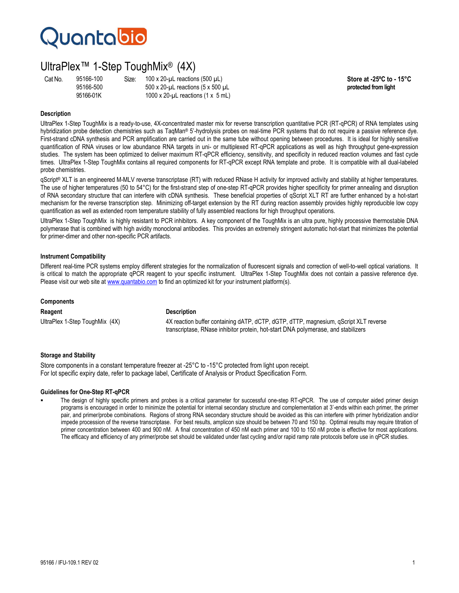# **Quantabio**

### UltraPlex™ 1-Step ToughMix® (4X)

Cat No. 95166-100 Size: 100 x 20-µL reactions (500 µL)<br>95166-500 500 x 20-µL reactions (5 x 500 µL **Store at -25°C to - 15°C protected from light** 95166-500 500 x 20-µL reactions (5 x 500 µL **protected from light** 1000 x 20- $\mu$ L reactions (1 x 5 mL)

### **Description**

UltraPlex 1-Step ToughMix is a ready-to-use, 4X-concentrated master mix for reverse transcription quantitative PCR (RT-qPCR) of RNA templates using hybridization probe detection chemistries such as TaqMan® 5'-hydrolysis probes on real-time PCR systems that do not require a passive reference dye. First-strand cDNA synthesis and PCR amplification are carried out in the same tube without opening between procedures. It is ideal for highly sensitive quantification of RNA viruses or low abundance RNA targets in uni- or multiplexed RT-qPCR applications as well as high throughput gene-expression studies. The system has been optimized to deliver maximum RT-qPCR efficiency, sensitivity, and specificity in reduced reaction volumes and fast cycle times. UltraPlex 1-Step ToughMix contains all required components for RT-qPCR except RNA template and probe. It is compatible with all dual-labeled probe chemistries.

qScript® XLT is an engineered M-MLV reverse transcriptase (RT) with reduced RNase H activity for improved activity and stability at higher temperatures. The use of higher temperatures (50 to 54°C) for the first-strand step of one-step RT-qPCR provides higher specificity for primer annealing and disruption of RNA secondary structure that can interfere with cDNA synthesis. These beneficial properties of qScript XLT RT are further enhanced by a hot-start mechanism for the reverse transcription step. Minimizing off-target extension by the RT during reaction assembly provides highly reproducible low copy quantification as well as extended room temperature stability of fully assembled reactions for high throughput operations.

UltraPlex 1-Step ToughMix is highly resistant to PCR inhibitors. A key component of the ToughMix is an ultra pure, highly processive thermostable DNA polymerase that is combined with high avidity monoclonal antibodies. This provides an extremely stringent automatic hot-start that minimizes the potential for primer-dimer and other non-specific PCR artifacts.

### **Instrument Compatibility**

Different real-time PCR systems employ different strategies for the normalization of fluorescent signals and correction of well-to-well optical variations. It is critical to match the appropriate qPCR reagent to your specific instrument. UltraPlex 1-Step ToughMix does not contain a passive reference dye. Please visit our web site at www.quantabio.com to find an optimized kit for your instrument platform(s).

#### **Components**

**Reagent Description**

UltraPlex 1-Step ToughMix (4X) 4X reaction buffer containing dATP, dCTP, dGTP, dTTP, magnesium, qScript XLT reverse transcriptase, RNase inhibitor protein, hot-start DNA polymerase, and stabilizers

#### **Storage and Stability**

Store components in a constant temperature freezer at -25°C to -15°C protected from light upon receipt. For lot specific expiry date, refer to package label, Certificate of Analysis or Product Specification Form.

#### **Guidelines for One-Step RT-qPCR**

 The design of highly specific primers and probes is a critical parameter for successful one-step RT-qPCR. The use of computer aided primer design programs is encouraged in order to minimize the potential for internal secondary structure and complementation at 3'-ends within each primer, the primer pair, and primer/probe combinations. Regions of strong RNA secondary structure should be avoided as this can interfere with primer hybridization and/or impede procession of the reverse transcriptase. For best results, amplicon size should be between 70 and 150 bp. Optimal results may require titration of primer concentration between 400 and 900 nM. A final concentration of 450 nM each primer and 100 to 150 nM probe is effective for most applications. The efficacy and efficiency of any primer/probe set should be validated under fast cycling and/or rapid ramp rate protocols before use in qPCR studies.